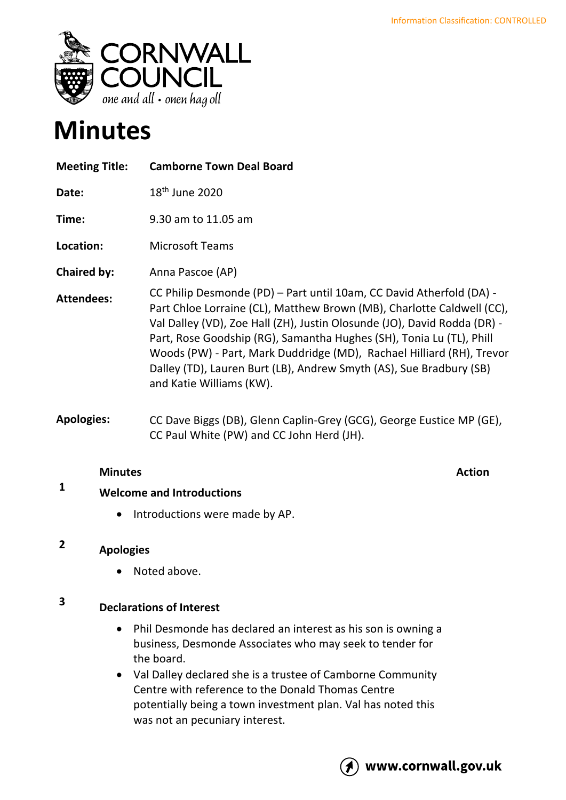

# **Minutes**

| <b>Meeting Title:</b> | <b>Camborne Town Deal Board</b>                                                                                                                                                                                                                                                                                                                                                                                                                                                |
|-----------------------|--------------------------------------------------------------------------------------------------------------------------------------------------------------------------------------------------------------------------------------------------------------------------------------------------------------------------------------------------------------------------------------------------------------------------------------------------------------------------------|
| Date:                 | $18th$ June 2020                                                                                                                                                                                                                                                                                                                                                                                                                                                               |
| Time:                 | 9.30 am to 11.05 am                                                                                                                                                                                                                                                                                                                                                                                                                                                            |
| Location:             | <b>Microsoft Teams</b>                                                                                                                                                                                                                                                                                                                                                                                                                                                         |
| <b>Chaired by:</b>    | Anna Pascoe (AP)                                                                                                                                                                                                                                                                                                                                                                                                                                                               |
| <b>Attendees:</b>     | CC Philip Desmonde (PD) - Part until 10am, CC David Atherfold (DA) -<br>Part Chloe Lorraine (CL), Matthew Brown (MB), Charlotte Caldwell (CC),<br>Val Dalley (VD), Zoe Hall (ZH), Justin Olosunde (JO), David Rodda (DR) -<br>Part, Rose Goodship (RG), Samantha Hughes (SH), Tonia Lu (TL), Phill<br>Woods (PW) - Part, Mark Duddridge (MD), Rachael Hilliard (RH), Trevor<br>Dalley (TD), Lauren Burt (LB), Andrew Smyth (AS), Sue Bradbury (SB)<br>and Katie Williams (KW). |
| <b>Apologies:</b>     | CC Dave Biggs (DB), Glenn Caplin-Grey (GCG), George Eustice MP (GE),<br>CC Paul White (PW) and CC John Herd (JH).                                                                                                                                                                                                                                                                                                                                                              |

### **Minutes Action**

## **<sup>1</sup> Welcome and Introductions**

• Introductions were made by AP.

#### **2 Apologies**

• Noted above.

# **<sup>3</sup> Declarations of Interest**

- Phil Desmonde has declared an interest as his son is owning a business, Desmonde Associates who may seek to tender for the board.
- Val Dalley declared she is a trustee of Camborne Community Centre with reference to the Donald Thomas Centre potentially being a town investment plan. Val has noted this was not an pecuniary interest.

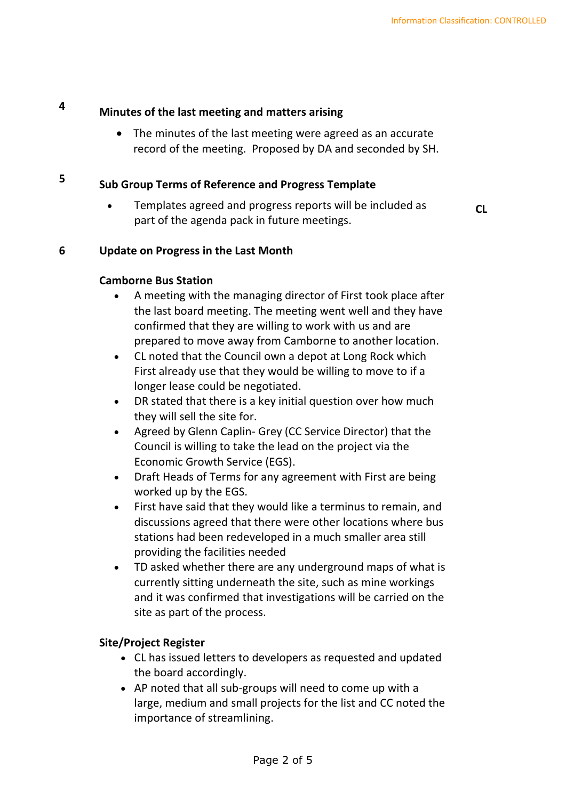## **<sup>4</sup> Minutes of the last meeting and matters arising**

• The minutes of the last meeting were agreed as an accurate record of the meeting. Proposed by DA and seconded by SH.

#### **5 Sub Group Terms of Reference and Progress Template**

• Templates agreed and progress reports will be included as part of the agenda pack in future meetings.

**CL**

#### **6 Update on Progress in the Last Month**

#### **Camborne Bus Station**

- A meeting with the managing director of First took place after the last board meeting. The meeting went well and they have confirmed that they are willing to work with us and are prepared to move away from Camborne to another location.
- CL noted that the Council own a depot at Long Rock which First already use that they would be willing to move to if a longer lease could be negotiated.
- DR stated that there is a key initial question over how much they will sell the site for.
- Agreed by Glenn Caplin- Grey (CC Service Director) that the Council is willing to take the lead on the project via the Economic Growth Service (EGS).
- Draft Heads of Terms for any agreement with First are being worked up by the EGS.
- First have said that they would like a terminus to remain, and discussions agreed that there were other locations where bus stations had been redeveloped in a much smaller area still providing the facilities needed
- TD asked whether there are any underground maps of what is currently sitting underneath the site, such as mine workings and it was confirmed that investigations will be carried on the site as part of the process.

#### **Site/Project Register**

- CL has issued letters to developers as requested and updated the board accordingly.
- AP noted that all sub-groups will need to come up with a large, medium and small projects for the list and CC noted the importance of streamlining.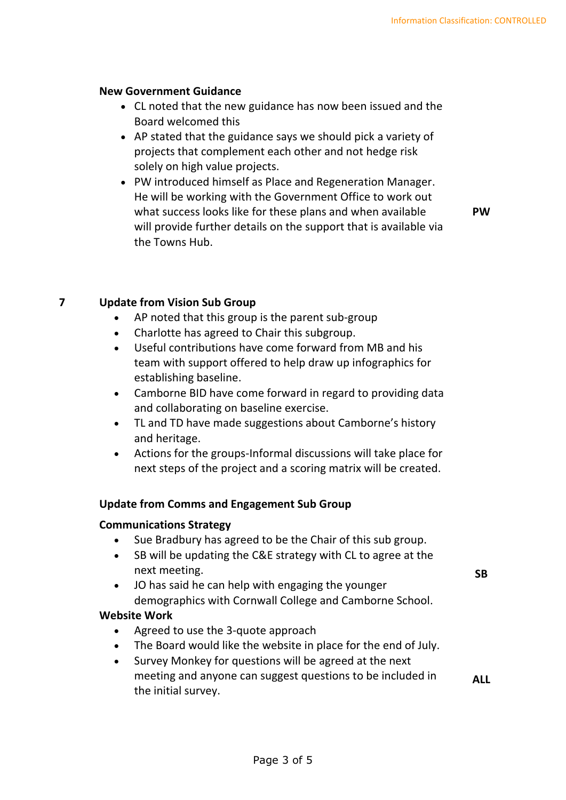#### **New Government Guidance**

- CL noted that the new guidance has now been issued and the Board welcomed this
- AP stated that the guidance says we should pick a variety of projects that complement each other and not hedge risk solely on high value projects.
- PW introduced himself as Place and Regeneration Manager. He will be working with the Government Office to work out what success looks like for these plans and when available will provide further details on the support that is available via the Towns Hub.

**PW**

**SB**

#### **7 Update from Vision Sub Group**

- AP noted that this group is the parent sub-group
- Charlotte has agreed to Chair this subgroup.
- Useful contributions have come forward from MB and his team with support offered to help draw up infographics for establishing baseline.
- Camborne BID have come forward in regard to providing data and collaborating on baseline exercise.
- TL and TD have made suggestions about Camborne's history and heritage.
- Actions for the groups-Informal discussions will take place for next steps of the project and a scoring matrix will be created.

#### **Update from Comms and Engagement Sub Group**

#### **Communications Strategy**

- Sue Bradbury has agreed to be the Chair of this sub group.
- SB will be updating the C&E strategy with CL to agree at the next meeting.
- JO has said he can help with engaging the younger demographics with Cornwall College and Camborne School.

#### **Website Work**

- Agreed to use the 3-quote approach
- The Board would like the website in place for the end of July.
- Survey Monkey for questions will be agreed at the next meeting and anyone can suggest questions to be included in the initial survey. **ALL**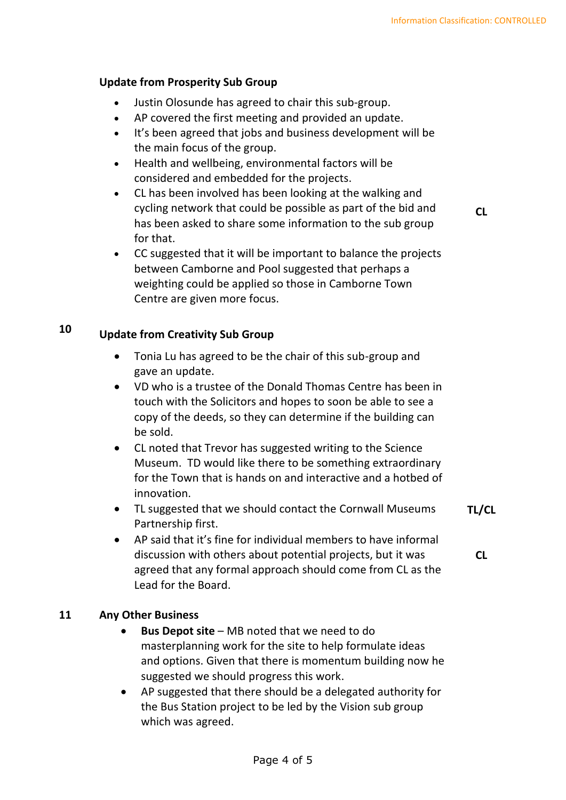### **Update from Prosperity Sub Group**

- Justin Olosunde has agreed to chair this sub-group.
- AP covered the first meeting and provided an update.
- It's been agreed that jobs and business development will be the main focus of the group.
- Health and wellbeing, environmental factors will be considered and embedded for the projects.
- CL has been involved has been looking at the walking and cycling network that could be possible as part of the bid and has been asked to share some information to the sub group for that.

**CL**

**CL**

• CC suggested that it will be important to balance the projects between Camborne and Pool suggested that perhaps a weighting could be applied so those in Camborne Town Centre are given more focus.

## **<sup>10</sup> Update from Creativity Sub Group**

- Tonia Lu has agreed to be the chair of this sub-group and gave an update.
- VD who is a trustee of the Donald Thomas Centre has been in touch with the Solicitors and hopes to soon be able to see a copy of the deeds, so they can determine if the building can be sold.
- CL noted that Trevor has suggested writing to the Science Museum. TD would like there to be something extraordinary for the Town that is hands on and interactive and a hotbed of innovation.
- TL suggested that we should contact the Cornwall Museums Partnership first. **TL/CL**
- AP said that it's fine for individual members to have informal discussion with others about potential projects, but it was agreed that any formal approach should come from CL as the Lead for the Board.

### **11 Any Other Business**

- **Bus Depot site** MB noted that we need to do masterplanning work for the site to help formulate ideas and options. Given that there is momentum building now he suggested we should progress this work.
- AP suggested that there should be a delegated authority for the Bus Station project to be led by the Vision sub group which was agreed.